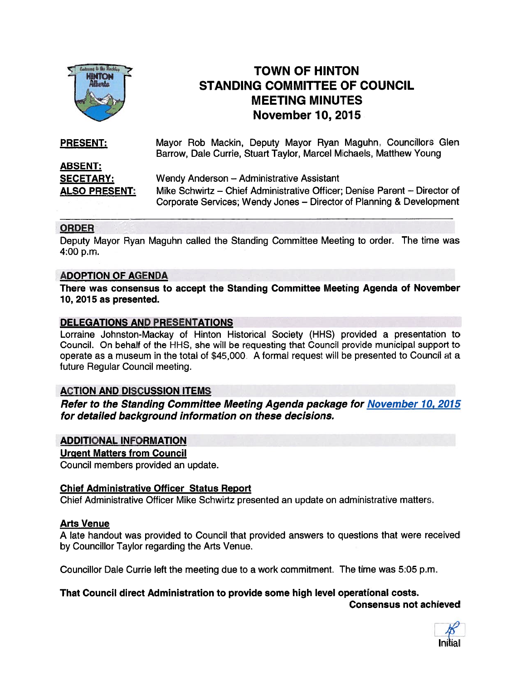

# TOWN OF HINTON STANDING COMMITTEE OF COUNCIL MEETING MINUTES November 10, 2015

| <b>PRESENT:</b>                                            | Mayor Rob Mackin, Deputy Mayor Ryan Maguhn, Councillors Glen<br>Barrow, Dale Currie, Stuart Taylor, Marcel Michaels, Matthew Young |
|------------------------------------------------------------|------------------------------------------------------------------------------------------------------------------------------------|
| <b>ABSENT:</b><br><b>SECETARY:</b><br><b>ALSO PRESENT:</b> | Wendy Anderson - Administrative Assistant<br>Mike Schwirtz - Chief Administrative Officer; Denise Parent - Director of             |
|                                                            | Corporate Services; Wendy Jones - Director of Planning & Development                                                               |

# ORDER

Deputy Mayor Ryan Maguhn called the Standing Committee Meeting to order. The time was 4:00 p.m.

# ADOPTION OF AGENDA

There was consensus to accep<sup>t</sup> the Standing Committee Meeting Agenda of November 10, 2015 as presented.

# DELEGATIONS AND PRESENTATIONS

Lorraine Johnston-Mackay of Hinton Historical Society (HHS) provided <sup>a</sup> presentation to Council. On behalf of the HHS, she will be requesting that Council provide municipal suppor<sup>t</sup> to operate as <sup>a</sup> museum in the total of \$45,000. A formal reques<sup>t</sup> will be presented to Council at <sup>a</sup> future Regular Council meeting.

# ACTION AND DISCUSSION ITEMS

Refer to the Standing Committee Meeting Agenda package for November 10, 2015 for detailed background information on these decisions.

# ADDITIONAL INFORMATION

#### Urgent Matters from Council

Council members provided an update.

# Chief Administrative Officer Status Report

Chief Administrative Officer Mike Schwirtz presented an update on administrative matters.

# Arts Venue

A late handout was provided to Council that provided answers to questions that were received by Councillor Taylor regarding the Arts Venue.

Councillor Dale Currie left the meeting due to <sup>a</sup> work commitment. The time was 5:05 p.m.

# That Council direct Administration to provide some high level operational costs.

Consensus not achieved